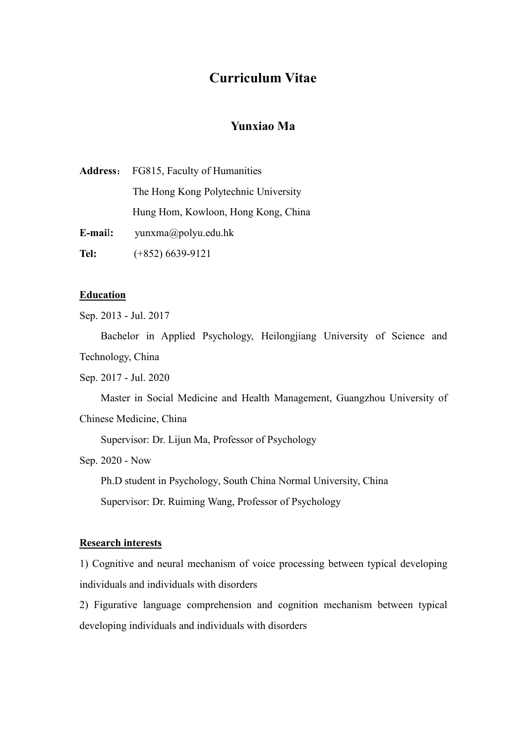# **Curriculum Vitae**

# **Yunxiao Ma**

|         | <b>Address:</b> FG815, Faculty of Humanities |
|---------|----------------------------------------------|
|         | The Hong Kong Polytechnic University         |
|         | Hung Hom, Kowloon, Hong Kong, China          |
| E-mail: | $y$ unxma $\omega$ polyu.edu.hk              |
| Tel:    | $(+852)$ 6639-9121                           |

# **Education**

Sep. 2013 - Jul. 2017

Bachelor in Applied Psychology, Heilongjiang University of Science and Technology, China

Sep. 2017 - Jul. 2020

Master in Social Medicine and Health Management, Guangzhou University of

Chinese Medicine, China

Supervisor: Dr. Lijun Ma, Professor of Psychology

Sep. 2020 - Now

Ph.D student in Psychology, South China Normal University, China Supervisor: Dr. Ruiming Wang, Professor of Psychology

#### **Research interests**

1) Cognitive and neural mechanism of voice processing between typical developing individuals and individuals with disorders

2) Figurative language comprehension and cognition mechanism between typical developing individuals and individuals with disorders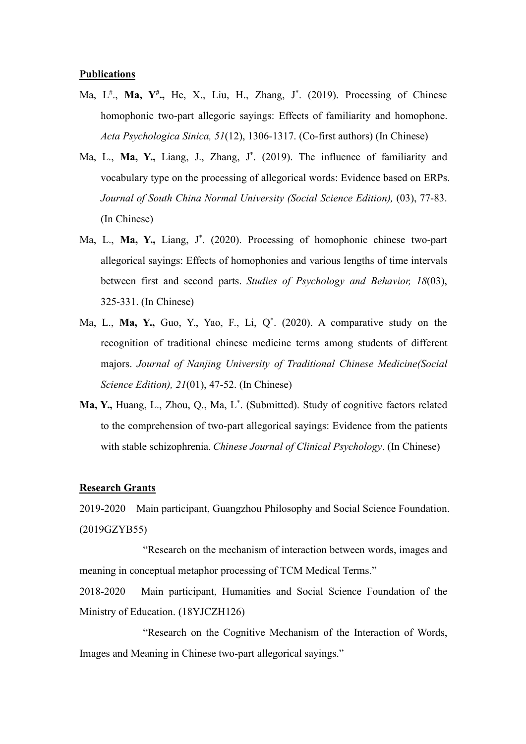#### **Publications**

- Ma, L # ., **Ma, Y# .,** He, X., Liu, H., Zhang, J \* . (2019). Processing of Chinese homophonic two-part allegoric sayings: Effects of familiarity and homophone. *Acta Psychologica Sinica, 51*(12), 1306-1317. (Co-first authors) (In Chinese)
- Ma, L., **Ma, Y.,** Liang, J., Zhang, J \* . (2019). The influence of familiarity and vocabulary type on the processing of allegorical words: Evidence based on ERPs. *Journal of South China Normal University (Social Science Edition),* (03), 77-83. (In Chinese)
- Ma, L., **Ma, Y.,** Liang, J \* . (2020). Processing of homophonic chinese two-part allegorical sayings: Effects of homophonies and various lengths of time intervals between first and second parts. *Studies of Psychology and Behavior, 18*(03), 325-331. (In Chinese)
- Ma, L., **Ma, Y.,** Guo, Y., Yao, F., Li, Q\* . (2020). A comparative study on the recognition of traditional chinese medicine terms among students of different majors. *Journal of Nanjing University of Traditional Chinese Medicine(Social Science Edition), 21*(01), 47-52. (In Chinese)
- **Ma, Y.,** Huang, L., Zhou, Q., Ma, L \* . (Submitted). Study of cognitive factors related to the comprehension of two-part allegorical sayings: Evidence from the patients with stable schizophrenia. *Chinese Journal of Clinical Psychology*. (In Chinese)

#### **Research Grants**

2019-2020 Main participant, Guangzhou Philosophy and Social Science Foundation. (2019GZYB55)<br>"Research on the mechanism of interaction between words, images and

meaning in conceptual metaphor processing of TCM Medical Terms."

2018-2020 Main participant, Humanities and Social Science Foundation of the Ministry of Education. (18YJCZH126)

"Research on the Cognitive Mechanism of the Interaction of Words, Images and Meaning in Chinese two-part allegorical sayings."